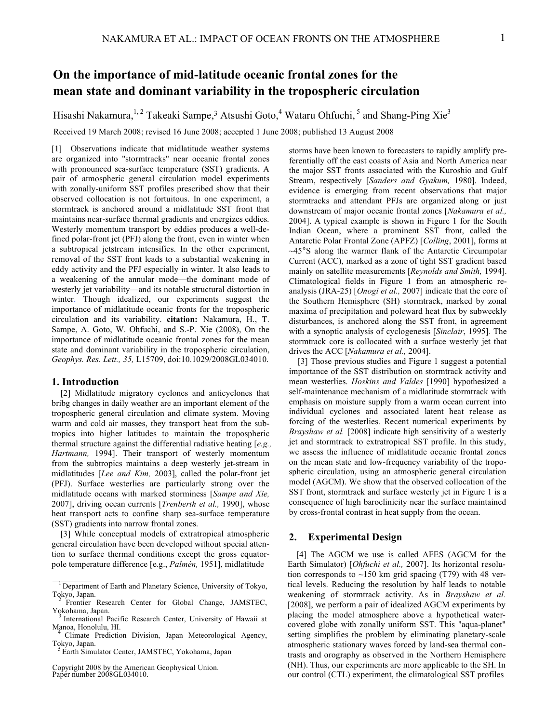# **On the importance of mid-latitude oceanic frontal zones for the mean state and dominant variability in the tropospheric circulation**

Hisashi Nakamura,<sup>1,2</sup> Takeaki Sampe,<sup>3</sup> Atsushi Goto,<sup>4</sup> Wataru Ohfuchi,<sup>5</sup> and Shang-Ping Xie<sup>3</sup>

Received 19 March 2008; revised 16 June 2008; accepted 1 June 2008; published 13 August 2008

[1] Observations indicate that midlatitude weather systems are organized into "stormtracks" near oceanic frontal zones with pronounced sea-surface temperature (SST) gradients. A pair of atmospheric general circulation model experiments with zonally-uniform SST profiles prescribed show that their observed collocation is not fortuitous. In one experiment, a stormtrack is anchored around a midlatitude SST front that maintains near-surface thermal gradients and energizes eddies. Westerly momentum transport by eddies produces a well-defined polar-front jet (PFJ) along the front, even in winter when a subtropical jetstream intensifies. In the other experiment, removal of the SST front leads to a substantial weakening in eddy activity and the PFJ especially in winter. It also leads to a weakening of the annular mode—the dominant mode of westerly jet variability—and its notable structural distortion in winter. Though idealized, our experiments suggest the importance of midlatitude oceanic fronts for the tropospheric circulation and its variability. **citation:** Nakamura, H., T. Sampe, A. Goto, W. Ohfuchi, and S.-P. Xie (2008), On the importance of midlatitude oceanic frontal zones for the mean state and dominant variability in the tropospheric circulation, *Geophys. Res. Lett., 35,* L15709, doi:10.1029/2008GL034010.

## **1. Introduction**

[2] Midlatitude migratory cyclones and anticyclones that bribg changes in daily weather are an important element of the tropospheric general circulation and climate system. Moving warm and cold air masses, they transport heat from the subtropics into higher latitudes to maintain the tropospheric thermal structure against the differential radiative heating [*e.g., Hartmann,* 1994]. Their transport of westerly momentum from the subtropics maintains a deep westerly jet-stream in midlatitudes [*Lee and Kim,* 2003], called the polar-front jet (PFJ). Surface westerlies are particularly strong over the midlatitude oceans with marked storminess [*Sampe and Xie,* 2007], driving ocean currents [*Trenberth et al.,* 1990], whose heat transport acts to confine sharp sea-surface temperature (SST) gradients into narrow frontal zones.

[3] While conceptual models of extratropical atmospheric general circulation have been developed without special attention to surface thermal conditions except the gross equatorpole temperature difference [e.g., *Palmén,* 1951], midlatitude

Copyright 2008 by the American Geophysical Union. Paper number 2008GL034010.

storms have been known to forecasters to rapidly amplify preferentially off the east coasts of Asia and North America near the major SST fronts associated with the Kuroshio and Gulf Stream, respectively [*Sanders and Gyakum,* 1980]. Indeed, evidence is emerging from recent observations that major stormtracks and attendant PFJs are organized along or just downstream of major oceanic frontal zones [*Nakamura et al.,* 2004]. A typical example is shown in Figure 1 for the South Indian Ocean, where a prominent SST front, called the Antarctic Polar Frontal Zone (APFZ) [*Colling*, 2001], forms at ~45°S along the warmer flank of the Antarctic Circumpolar Current (ACC), marked as a zone of tight SST gradient based mainly on satellite measurements [*Reynolds and Smith,* 1994]. Climatological fields in Figure 1 from an atmospheric reanalysis (JRA-25) [*Onogi et al.,* 2007] indicate that the core of the Southern Hemisphere (SH) stormtrack, marked by zonal maxima of precipitation and poleward heat flux by subweekly disturbances, is anchored along the SST front, in agreement with a synoptic analysis of cyclogenesis [*Sinclair*, 1995]. The stormtrack core is collocated with a surface westerly jet that drives the ACC [*Nakamura et al.,* 2004].

[3] Those previous studies and Figure 1 suggest a potential importance of the SST distribution on stormtrack activity and mean westerlies. *Hoskins and Valdes* [1990] hypothesized a self-maintenance mechanism of a midlatitude stormtrack with emphasis on moisture supply from a warm ocean current into individual cyclones and associated latent heat release as forcing of the westerlies. Recent numerical experiments by *Brayshaw et al.* [2008] indicate high sensitivity of a westerly jet and stormtrack to extratropical SST profile. In this study, we assess the influence of midlatitude oceanic frontal zones on the mean state and low-frequency variability of the tropospheric circulation, using an atmospheric general circulation model (AGCM). We show that the observed collocation of the SST front, stormtrack and surface westerly jet in Figure 1 is a consequence of high baroclinicity near the surface maintained by cross-frontal contrast in heat supply from the ocean.

# **2. Experimental Design**

[4] The AGCM we use is called AFES (AGCM for the Earth Simulator) [*Ohfuchi et al.,* 2007]. Its horizontal resolution corresponds to  $~150$  km grid spacing (T79) with 48 vertical levels. Reducing the resolution by half leads to notable weakening of stormtrack activity. As in *Brayshaw et al.* [2008], we perform a pair of idealized AGCM experiments by placing the model atmosphere above a hypothetical watercovered globe with zonally uniform SST. This "aqua-planet" setting simplifies the problem by eliminating planetary-scale atmospheric stationary waves forced by land-sea thermal contrasts and orography as observed in the Northern Hemisphere (NH). Thus, our experiments are more applicable to the SH. In our control (CTL) experiment, the climatological SST profiles

<sup>&</sup>lt;sup>1</sup> Department of Earth and Planetary Science, University of Tokyo, Tokyo, Japan. <sup>2</sup> Frontier Research Center for Global Change, JAMSTEC,

Yokohama, Japan.<br><sup>3</sup> International Pacific Research Center, University of Hawaii at Manoa, Honolulu, HI.

<sup>&</sup>lt;sup>4</sup> Climate Prediction Division, Japan Meteorological Agency, Tokyo, Japan.

Earth Simulator Center, JAMSTEC, Yokohama, Japan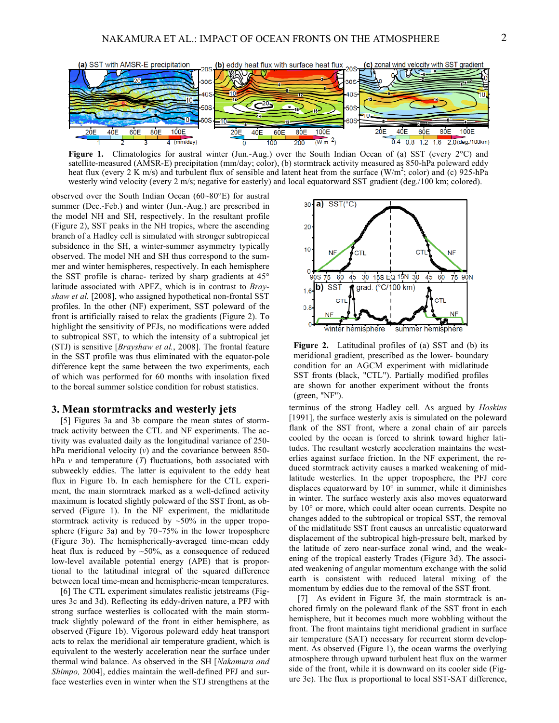

**Figure 1.** Climatologies for austral winter (Jun.-Aug.) over the South Indian Ocean of (a) SST (every 2°C) and satellite-measured (AMSR-E) precipitation (mm/day; color), (b) stormtrack activity measured as 850-hPa poleward eddy heat flux (every 2  $\hat{K}$  m/s) and turbulent flux of sensible and latent heat from the surface (W/m<sup>2</sup>; color) and (c) 925-hPa westerly wind velocity (every 2 m/s; negative for easterly) and local equatorward SST gradient (deg./100 km; colored).

observed over the South Indian Ocean (60~80°E) for austral summer (Dec.-Feb.) and winter (Jun.-Aug.) are prescribed in the model NH and SH, respectively. In the resultant profile (Figure 2), SST peaks in the NH tropics, where the ascending branch of a Hadley cell is simulated with stronger subtropiccal subsidence in the SH, a winter-summer asymmetry typically observed. The model NH and SH thus correspond to the summer and winter hemispheres, respectively. In each hemisphere the SST profile is charac- terized by sharp gradients at 45° latitude associated with APFZ, which is in contrast to *Brayshaw et al.* [2008], who assigned hypothetical non-frontal SST profiles. In the other (NF) experiment, SST poleward of the front is artificially raised to relax the gradients (Figure 2). To highlight the sensitivity of PFJs, no modifications were added to subtropical SST, to which the intensity of a subtropical jet (STJ) is sensitive [*Brayshaw et al.*, 2008]. The frontal feature in the SST profile was thus eliminated with the equator-pole difference kept the same between the two experiments, each of which was performed for 60 months with insolation fixed to the boreal summer solstice condition for robust statistics.

#### **3. Mean stormtracks and westerly jets**

[5] Figures 3a and 3b compare the mean states of stormtrack activity between the CTL and NF experiments. The activity was evaluated daily as the longitudinal variance of 250 hPa meridional velocity (*v*) and the covariance between 850hPa *v* and temperature (*T*) fluctuations, both associated with subweekly eddies. The latter is equivalent to the eddy heat flux in Figure 1b. In each hemisphere for the CTL experiment, the main stormtrack marked as a well-defined activity maximum is located slightly poleward of the SST front, as observed (Figure 1). In the NF experiment, the midlatitude stormtrack activity is reduced by ~50% in the upper troposphere (Figure 3a) and by 70~75% in the lower troposphere (Figure 3b). The hemispherically-averaged time-mean eddy heat flux is reduced by ~50%, as a consequence of reduced low-level available potential energy (APE) that is proportional to the latitudinal integral of the squared difference between local time-mean and hemispheric-mean temperatures.

[6] The CTL experiment simulates realistic jetstreams (Figures 3c and 3d). Reflecting its eddy-driven nature, a PFJ with strong surface westerlies is collocated with the main stormtrack slightly poleward of the front in either hemisphere, as observed (Figure 1b). Vigorous poleward eddy heat transport acts to relax the meridional air temperature gradient, which is equivalent to the westerly acceleration near the surface under thermal wind balance. As observed in the SH [*Nakamura and Shimpo,* 2004], eddies maintain the well-defined PFJ and surface westerlies even in winter when the STJ strengthens at the



**Figure 2.** Latitudinal profiles of (a) SST and (b) its meridional gradient, prescribed as the lower- boundary condition for an AGCM experiment with midlatitude SST fronts (black, "CTL"). Partially modified profiles are shown for another experiment without the fronts (green, "NF").

terminus of the strong Hadley cell. As argued by *Hoskins* [1991], the surface westerly axis is simulated on the poleward flank of the SST front, where a zonal chain of air parcels cooled by the ocean is forced to shrink toward higher latitudes. The resultant westerly acceleration maintains the westerlies against surface friction. In the NF experiment, the reduced stormtrack activity causes a marked weakening of midlatitude westerlies. In the upper troposphere, the PFJ core displaces equatorward by 10° in summer, while it diminishes in winter. The surface westerly axis also moves equatorward by 10° or more, which could alter ocean currents. Despite no changes added to the subtropical or tropical SST, the removal of the midlatitude SST front causes an unrealistic equatorward displacement of the subtropical high-pressure belt, marked by the latitude of zero near-surface zonal wind, and the weakening of the tropical easterly Trades (Figure 3d). The associated weakening of angular momentum exchange with the solid earth is consistent with reduced lateral mixing of the momentum by eddies due to the removal of the SST front.

[7] As evident in Figure 3f, the main stormtrack is anchored firmly on the poleward flank of the SST front in each hemisphere, but it becomes much more wobbling without the front. The front maintains tight meridional gradient in surface air temperature (SAT) necessary for recurrent storm development. As observed (Figure 1), the ocean warms the overlying atmosphere through upward turbulent heat flux on the warmer side of the front, while it is downward on its cooler side (Figure 3e). The flux is proportional to local SST-SAT difference,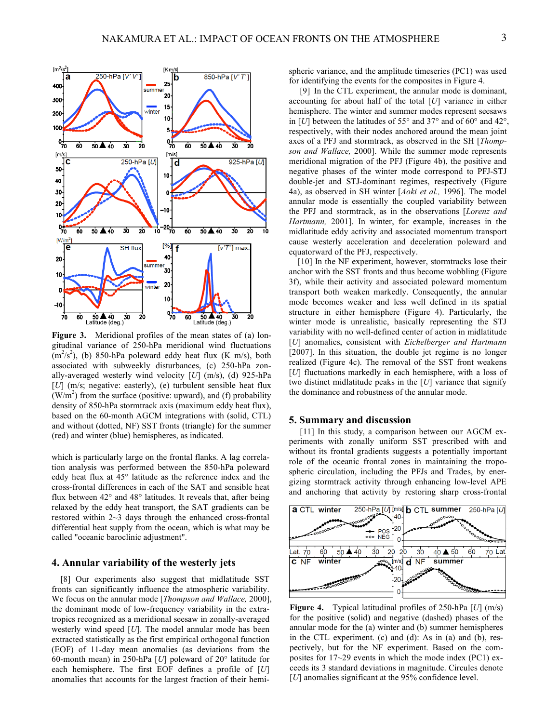

**Figure 3.** Meridional profiles of the mean states of (a) longitudinal variance of 250-hPa meridional wind fluctuations  $(m<sup>2</sup>/s<sup>2</sup>)$ , (b) 850-hPa poleward eddy heat flux (K m/s), both associated with subweekly disturbances, (c) 250-hPa zonally-averaged westerly wind velocity [*U*] (m/s), (d) 925-hPa [*U*] (m/s; negative: easterly), (e) turbulent sensible heat flux  $(W/m<sup>2</sup>)$  from the surface (positive: upward), and (f) probability density of 850-hPa stormtrack axis (maximum eddy heat flux), based on the 60-month AGCM integrations with (solid, CTL) and without (dotted, NF) SST fronts (triangle) for the summer (red) and winter (blue) hemispheres, as indicated.

which is particularly large on the frontal flanks. A lag correlation analysis was performed between the 850-hPa poleward eddy heat flux at 45° latitude as the reference index and the cross-frontal differences in each of the SAT and sensible heat flux between 42° and 48° latitudes. It reveals that, after being relaxed by the eddy heat transport, the SAT gradients can be restored within 2~3 days through the enhanced cross-frontal differential heat supply from the ocean, which is what may be called "oceanic baroclinic adjustment".

## **4. Annular variability of the westerly jets**

[8] Our experiments also suggest that midlatitude SST fronts can significantly influence the atmospheric variability. We focus on the annular mode [*Thompson and Wallace,* 2000], the dominant mode of low-frequency variability in the extratropics recognized as a meridional seesaw in zonally-averaged westerly wind speed [*U*]. The model annular mode has been extracted statistically as the first empirical orthogonal function (EOF) of 11-day mean anomalies (as deviations from the 60-month mean) in 250-hPa [*U*] poleward of 20° latitude for each hemisphere. The first EOF defines a profile of [*U*] anomalies that accounts for the largest fraction of their hemispheric variance, and the amplitude timeseries (PC1) was used for identifying the events for the composites in Figure 4.

[9] In the CTL experiment, the annular mode is dominant, accounting for about half of the total [*U*] variance in either hemisphere. The winter and summer modes represent seesaws in [*U*] between the latitudes of 55° and 37° and of 60° and 42°, respectively, with their nodes anchored around the mean joint axes of a PFJ and stormtrack, as observed in the SH [*Thompson and Wallace,* 2000]. While the summer mode represents meridional migration of the PFJ (Figure 4b), the positive and negative phases of the winter mode correspond to PFJ-STJ double-jet and STJ-dominant regimes, respectively (Figure 4a), as observed in SH winter [*Aoki et al.,* 1996]. The model annular mode is essentially the coupled variability between the PFJ and stormtrack, as in the observations [*Lorenz and Hartmann,* 2001]. In winter, for example, increases in the midlatitude eddy activity and associated momentum transport cause westerly acceleration and deceleration poleward and equatorward of the PFJ, respectively.

[10] In the NF experiment, however, stormtracks lose their anchor with the SST fronts and thus become wobbling (Figure 3f), while their activity and associated poleward momentum transport both weaken markedly. Consequently, the annular mode becomes weaker and less well defined in its spatial structure in either hemisphere (Figure 4). Particularly, the winter mode is unrealistic, basically representing the STJ variability with no well-defined center of action in midlatitude [*U*] anomalies, consistent with *Eichelberger and Hartmann* [2007]. In this situation, the double jet regime is no longer realized (Figure 4c). The removal of the SST front weakens [*U*] fluctuations markedly in each hemisphere, with a loss of two distinct midlatitude peaks in the [*U*] variance that signify the dominance and robustness of the annular mode.

### **5. Summary and discussion**

[11] In this study, a comparison between our AGCM experiments with zonally uniform SST prescribed with and without its frontal gradients suggests a potentially important role of the oceanic frontal zones in maintaining the tropospheric circulation, including the PFJs and Trades, by energizing stormtrack activity through enhancing low-level APE and anchoring that activity by restoring sharp cross-frontal



**Figure 4.** Typical latitudinal profiles of 250-hPa [*U*] (m/s) for the positive (solid) and negative (dashed) phases of the annular mode for the (a) winter and (b) summer hemispheres in the CTL experiment. (c) and (d): As in (a) and (b), respectively, but for the NF experiment. Based on the composites for 17~29 events in which the mode index (PC1) exceeds its 3 standard deviations in magnitude. Circules denote [*U*] anomalies significant at the 95% confidence level.